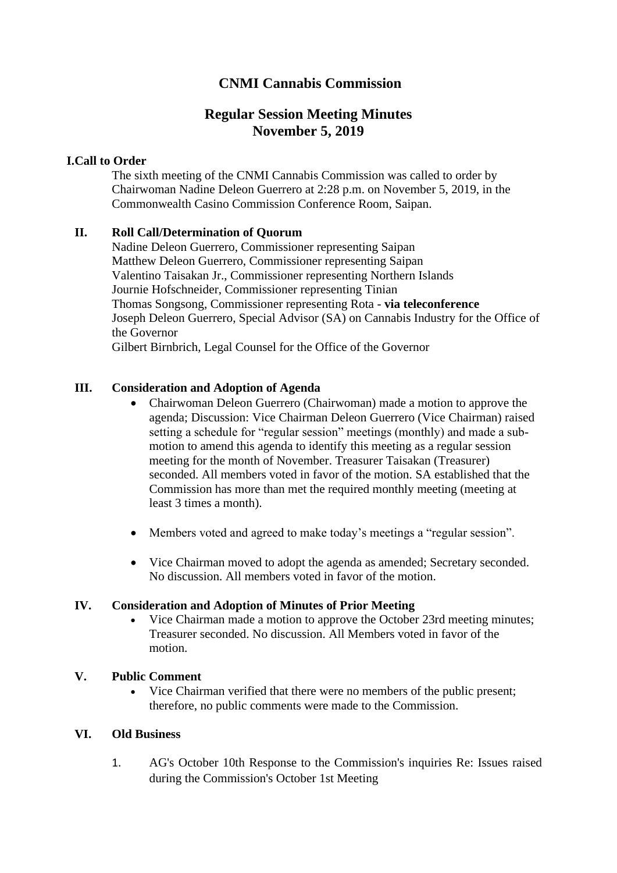# **CNMI Cannabis Commission**

# **Regular Session Meeting Minutes November 5, 2019**

## **I.Call to Order**

The sixth meeting of the CNMI Cannabis Commission was called to order by Chairwoman Nadine Deleon Guerrero at 2:28 p.m. on November 5, 2019, in the Commonwealth Casino Commission Conference Room, Saipan.

## **II. Roll Call/Determination of Quorum**

Nadine Deleon Guerrero, Commissioner representing Saipan Matthew Deleon Guerrero, Commissioner representing Saipan Valentino Taisakan Jr., Commissioner representing Northern Islands Journie Hofschneider, Commissioner representing Tinian Thomas Songsong, Commissioner representing Rota - **via teleconference** Joseph Deleon Guerrero, Special Advisor (SA) on Cannabis Industry for the Office of the Governor Gilbert Birnbrich, Legal Counsel for the Office of the Governor

## **III. Consideration and Adoption of Agenda**

- Chairwoman Deleon Guerrero (Chairwoman) made a motion to approve the agenda; Discussion: Vice Chairman Deleon Guerrero (Vice Chairman) raised setting a schedule for "regular session" meetings (monthly) and made a submotion to amend this agenda to identify this meeting as a regular session meeting for the month of November. Treasurer Taisakan (Treasurer) seconded. All members voted in favor of the motion. SA established that the Commission has more than met the required monthly meeting (meeting at least 3 times a month).
- Members voted and agreed to make today's meetings a "regular session".
- Vice Chairman moved to adopt the agenda as amended; Secretary seconded. No discussion. All members voted in favor of the motion.

#### **IV. Consideration and Adoption of Minutes of Prior Meeting**

• Vice Chairman made a motion to approve the October 23rd meeting minutes; Treasurer seconded. No discussion. All Members voted in favor of the motion.

#### **V. Public Comment**

• Vice Chairman verified that there were no members of the public present; therefore, no public comments were made to the Commission.

## **VI. Old Business**

1. AG's October 10th Response to the Commission's inquiries Re: Issues raised during the Commission's October 1st Meeting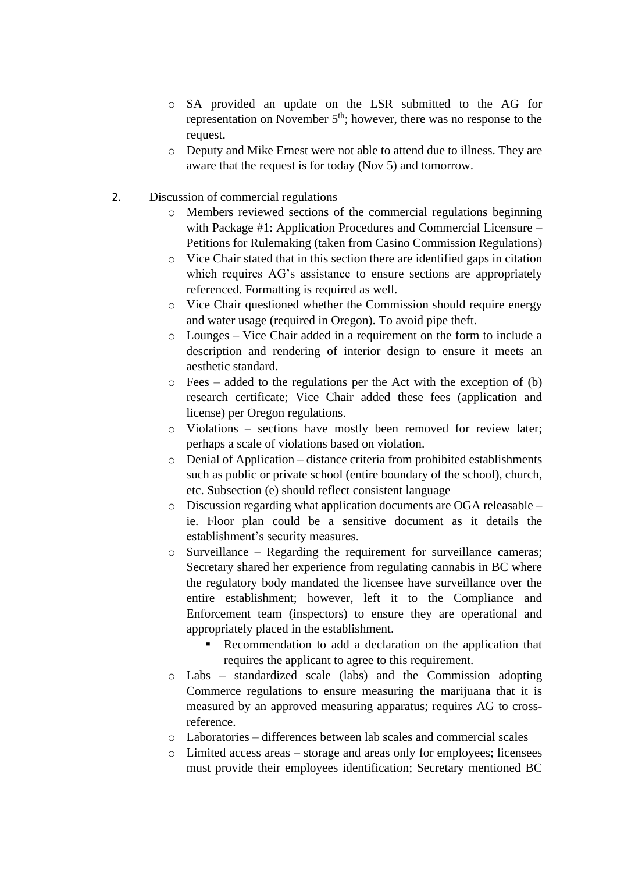- o SA provided an update on the LSR submitted to the AG for representation on November  $5<sup>th</sup>$ ; however, there was no response to the request.
- o Deputy and Mike Ernest were not able to attend due to illness. They are aware that the request is for today (Nov 5) and tomorrow.
- 2. Discussion of commercial regulations
	- o Members reviewed sections of the commercial regulations beginning with Package #1: Application Procedures and Commercial Licensure – Petitions for Rulemaking (taken from Casino Commission Regulations)
	- o Vice Chair stated that in this section there are identified gaps in citation which requires AG's assistance to ensure sections are appropriately referenced. Formatting is required as well.
	- o Vice Chair questioned whether the Commission should require energy and water usage (required in Oregon). To avoid pipe theft.
	- o Lounges Vice Chair added in a requirement on the form to include a description and rendering of interior design to ensure it meets an aesthetic standard.
	- $\circ$  Fees added to the regulations per the Act with the exception of (b) research certificate; Vice Chair added these fees (application and license) per Oregon regulations.
	- o Violations sections have mostly been removed for review later; perhaps a scale of violations based on violation.
	- o Denial of Application distance criteria from prohibited establishments such as public or private school (entire boundary of the school), church, etc. Subsection (e) should reflect consistent language
	- o Discussion regarding what application documents are OGA releasable ie. Floor plan could be a sensitive document as it details the establishment's security measures.
	- o Surveillance Regarding the requirement for surveillance cameras; Secretary shared her experience from regulating cannabis in BC where the regulatory body mandated the licensee have surveillance over the entire establishment; however, left it to the Compliance and Enforcement team (inspectors) to ensure they are operational and appropriately placed in the establishment.
		- Recommendation to add a declaration on the application that requires the applicant to agree to this requirement.
	- o Labs standardized scale (labs) and the Commission adopting Commerce regulations to ensure measuring the marijuana that it is measured by an approved measuring apparatus; requires AG to crossreference.
	- o Laboratories differences between lab scales and commercial scales
	- o Limited access areas storage and areas only for employees; licensees must provide their employees identification; Secretary mentioned BC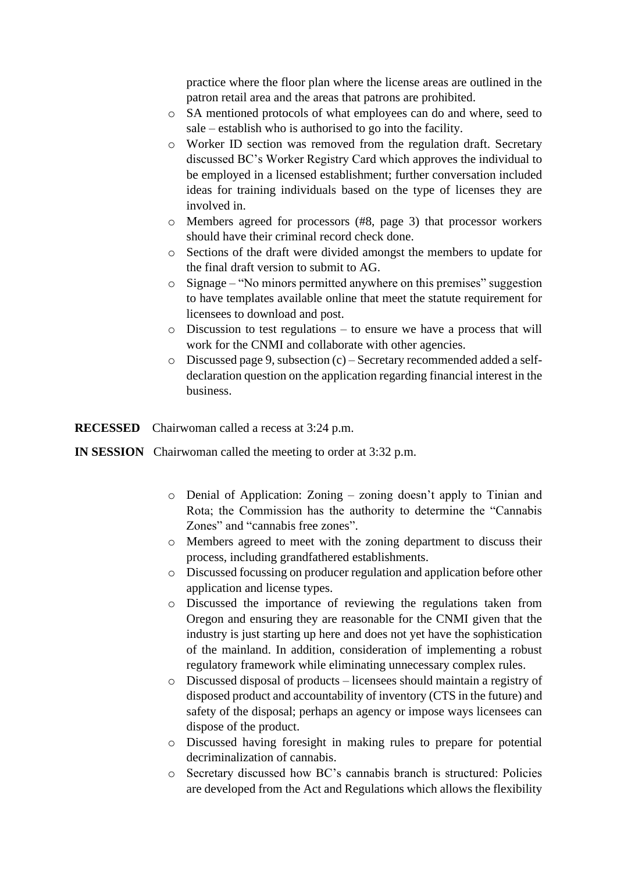practice where the floor plan where the license areas are outlined in the patron retail area and the areas that patrons are prohibited.

- o SA mentioned protocols of what employees can do and where, seed to sale – establish who is authorised to go into the facility.
- o Worker ID section was removed from the regulation draft. Secretary discussed BC's Worker Registry Card which approves the individual to be employed in a licensed establishment; further conversation included ideas for training individuals based on the type of licenses they are involved in.
- o Members agreed for processors (#8, page 3) that processor workers should have their criminal record check done.
- o Sections of the draft were divided amongst the members to update for the final draft version to submit to AG.
- o Signage "No minors permitted anywhere on this premises" suggestion to have templates available online that meet the statute requirement for licensees to download and post.
- o Discussion to test regulations to ensure we have a process that will work for the CNMI and collaborate with other agencies.
- o Discussed page 9, subsection (c) Secretary recommended added a selfdeclaration question on the application regarding financial interest in the business.

**RECESSED** Chairwoman called a recess at 3:24 p.m.

## **IN SESSION** Chairwoman called the meeting to order at 3:32 p.m.

- o Denial of Application: Zoning zoning doesn't apply to Tinian and Rota; the Commission has the authority to determine the "Cannabis Zones" and "cannabis free zones".
- o Members agreed to meet with the zoning department to discuss their process, including grandfathered establishments.
- o Discussed focussing on producer regulation and application before other application and license types.
- o Discussed the importance of reviewing the regulations taken from Oregon and ensuring they are reasonable for the CNMI given that the industry is just starting up here and does not yet have the sophistication of the mainland. In addition, consideration of implementing a robust regulatory framework while eliminating unnecessary complex rules.
- o Discussed disposal of products licensees should maintain a registry of disposed product and accountability of inventory (CTS in the future) and safety of the disposal; perhaps an agency or impose ways licensees can dispose of the product.
- o Discussed having foresight in making rules to prepare for potential decriminalization of cannabis.
- o Secretary discussed how BC's cannabis branch is structured: Policies are developed from the Act and Regulations which allows the flexibility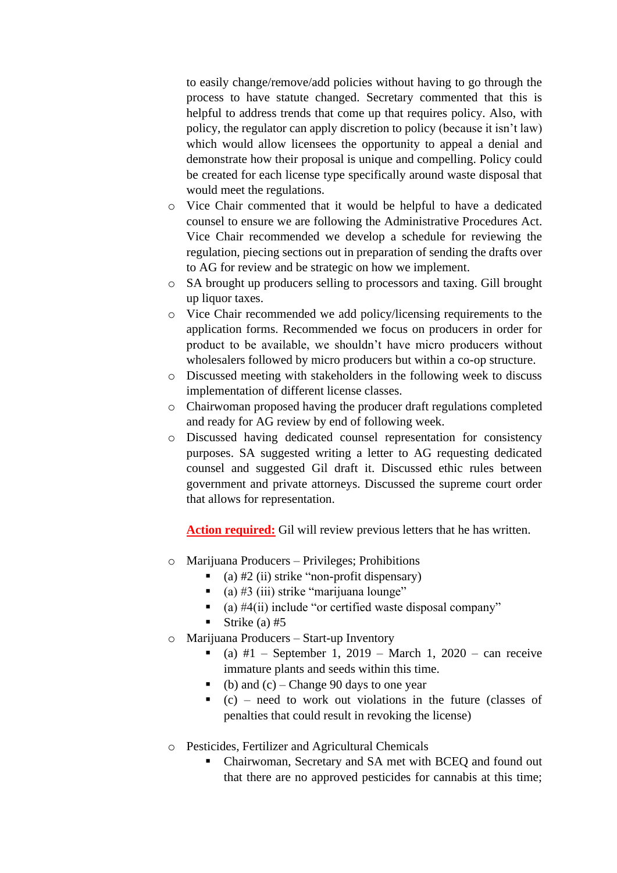to easily change/remove/add policies without having to go through the process to have statute changed. Secretary commented that this is helpful to address trends that come up that requires policy. Also, with policy, the regulator can apply discretion to policy (because it isn't law) which would allow licensees the opportunity to appeal a denial and demonstrate how their proposal is unique and compelling. Policy could be created for each license type specifically around waste disposal that would meet the regulations.

- o Vice Chair commented that it would be helpful to have a dedicated counsel to ensure we are following the Administrative Procedures Act. Vice Chair recommended we develop a schedule for reviewing the regulation, piecing sections out in preparation of sending the drafts over to AG for review and be strategic on how we implement.
- o SA brought up producers selling to processors and taxing. Gill brought up liquor taxes.
- o Vice Chair recommended we add policy/licensing requirements to the application forms. Recommended we focus on producers in order for product to be available, we shouldn't have micro producers without wholesalers followed by micro producers but within a co-op structure.
- o Discussed meeting with stakeholders in the following week to discuss implementation of different license classes.
- o Chairwoman proposed having the producer draft regulations completed and ready for AG review by end of following week.
- o Discussed having dedicated counsel representation for consistency purposes. SA suggested writing a letter to AG requesting dedicated counsel and suggested Gil draft it. Discussed ethic rules between government and private attorneys. Discussed the supreme court order that allows for representation.

**Action required:** Gil will review previous letters that he has written.

- o Marijuana Producers Privileges; Prohibitions
	- $\bullet$  (a) #2 (ii) strike "non-profit dispensary)
	- $\bullet$  (a) #3 (iii) strike "marijuana lounge"
	- $\bullet$  (a) #4(ii) include "or certified waste disposal company"
	- Strike (a)  $#5$
- o Marijuana Producers Start-up Inventory
	- $\bullet$  (a) #1 September 1, 2019 March 1, 2020 can receive immature plants and seeds within this time.
	- $\bullet$  (b) and (c) Change 90 days to one year
	- $\bullet$  (c) need to work out violations in the future (classes of penalties that could result in revoking the license)
- o Pesticides, Fertilizer and Agricultural Chemicals
	- Chairwoman, Secretary and SA met with BCEQ and found out that there are no approved pesticides for cannabis at this time;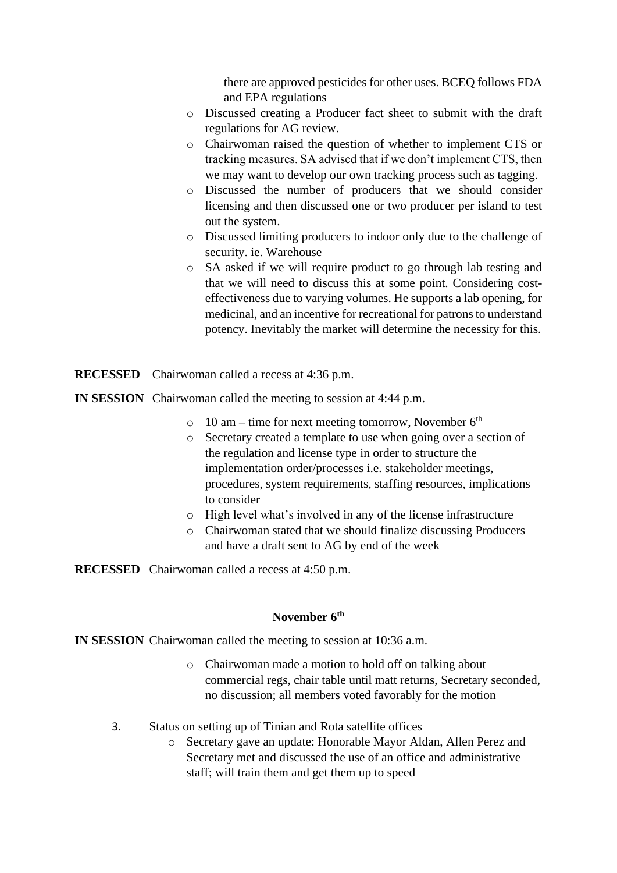there are approved pesticides for other uses. BCEQ follows FDA and EPA regulations

- o Discussed creating a Producer fact sheet to submit with the draft regulations for AG review.
- o Chairwoman raised the question of whether to implement CTS or tracking measures. SA advised that if we don't implement CTS, then we may want to develop our own tracking process such as tagging.
- o Discussed the number of producers that we should consider licensing and then discussed one or two producer per island to test out the system.
- o Discussed limiting producers to indoor only due to the challenge of security. ie. Warehouse
- o SA asked if we will require product to go through lab testing and that we will need to discuss this at some point. Considering costeffectiveness due to varying volumes. He supports a lab opening, for medicinal, and an incentive for recreational for patrons to understand potency. Inevitably the market will determine the necessity for this.
- **RECESSED** Chairwoman called a recess at 4:36 p.m.
- **IN SESSION** Chairwoman called the meeting to session at 4:44 p.m.
	- $\circ$  10 am time for next meeting tomorrow, November 6<sup>th</sup>
	- o Secretary created a template to use when going over a section of the regulation and license type in order to structure the implementation order/processes i.e. stakeholder meetings, procedures, system requirements, staffing resources, implications to consider
	- o High level what's involved in any of the license infrastructure
	- o Chairwoman stated that we should finalize discussing Producers and have a draft sent to AG by end of the week

**RECESSED** Chairwoman called a recess at 4:50 p.m.

# **November 6th**

**IN SESSION** Chairwoman called the meeting to session at 10:36 a.m.

- o Chairwoman made a motion to hold off on talking about commercial regs, chair table until matt returns, Secretary seconded, no discussion; all members voted favorably for the motion
- 3. Status on setting up of Tinian and Rota satellite offices
	- o Secretary gave an update: Honorable Mayor Aldan, Allen Perez and Secretary met and discussed the use of an office and administrative staff; will train them and get them up to speed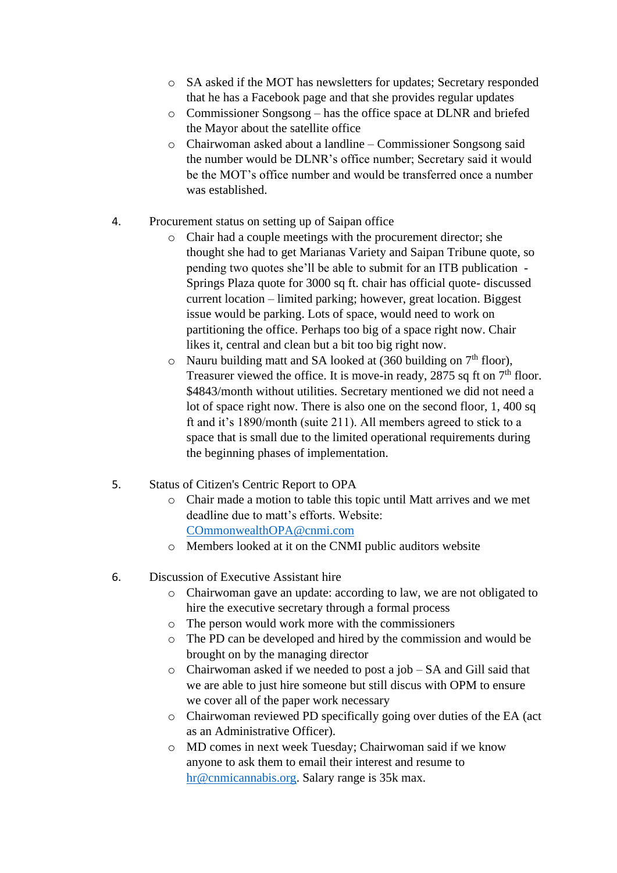- o SA asked if the MOT has newsletters for updates; Secretary responded that he has a Facebook page and that she provides regular updates
- o Commissioner Songsong has the office space at DLNR and briefed the Mayor about the satellite office
- o Chairwoman asked about a landline Commissioner Songsong said the number would be DLNR's office number; Secretary said it would be the MOT's office number and would be transferred once a number was established.
- 4. Procurement status on setting up of Saipan office
	- o Chair had a couple meetings with the procurement director; she thought she had to get Marianas Variety and Saipan Tribune quote, so pending two quotes she'll be able to submit for an ITB publication - Springs Plaza quote for 3000 sq ft. chair has official quote- discussed current location – limited parking; however, great location. Biggest issue would be parking. Lots of space, would need to work on partitioning the office. Perhaps too big of a space right now. Chair likes it, central and clean but a bit too big right now.
	- $\circ$  Nauru building matt and SA looked at (360 building on 7<sup>th</sup> floor), Treasurer viewed the office. It is move-in ready, 2875 sq ft on  $7<sup>th</sup>$  floor. \$4843/month without utilities. Secretary mentioned we did not need a lot of space right now. There is also one on the second floor, 1, 400 sq ft and it's 1890/month (suite 211). All members agreed to stick to a space that is small due to the limited operational requirements during the beginning phases of implementation.
- 5. Status of Citizen's Centric Report to OPA
	- o Chair made a motion to table this topic until Matt arrives and we met deadline due to matt's efforts. Website: [COmmonwealthOPA@cnmi.com](mailto:COmmonwealthOPA@cnmi.com)
	- o Members looked at it on the CNMI public auditors website
- 6. Discussion of Executive Assistant hire
	- o Chairwoman gave an update: according to law, we are not obligated to hire the executive secretary through a formal process
	- o The person would work more with the commissioners
	- o The PD can be developed and hired by the commission and would be brought on by the managing director
	- o Chairwoman asked if we needed to post a job SA and Gill said that we are able to just hire someone but still discus with OPM to ensure we cover all of the paper work necessary
	- o Chairwoman reviewed PD specifically going over duties of the EA (act as an Administrative Officer).
	- o MD comes in next week Tuesday; Chairwoman said if we know anyone to ask them to email their interest and resume to [hr@cnmicannabis.org.](mailto:hr@cnmicannabis.org) Salary range is 35k max.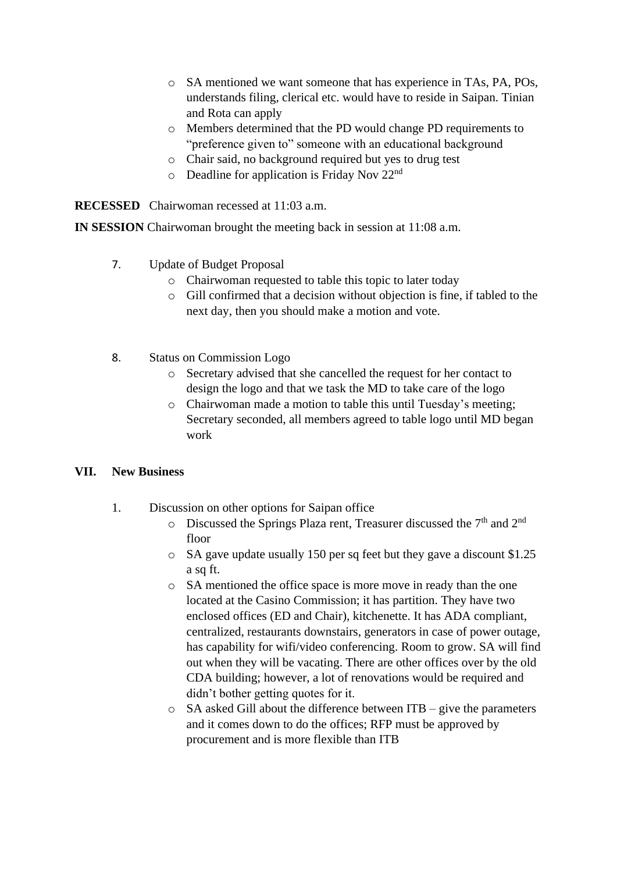- o SA mentioned we want someone that has experience in TAs, PA, POs, understands filing, clerical etc. would have to reside in Saipan. Tinian and Rota can apply
- o Members determined that the PD would change PD requirements to "preference given to" someone with an educational background
- o Chair said, no background required but yes to drug test
- $\circ$  Deadline for application is Friday Nov 22<sup>nd</sup>

**RECESSED** Chairwoman recessed at 11:03 a.m.

**IN SESSION** Chairwoman brought the meeting back in session at 11:08 a.m.

- 7. Update of Budget Proposal
	- o Chairwoman requested to table this topic to later today
	- o Gill confirmed that a decision without objection is fine, if tabled to the next day, then you should make a motion and vote.
- 8. Status on Commission Logo
	- o Secretary advised that she cancelled the request for her contact to design the logo and that we task the MD to take care of the logo
	- o Chairwoman made a motion to table this until Tuesday's meeting; Secretary seconded, all members agreed to table logo until MD began work

## **VII. New Business**

- 1. Discussion on other options for Saipan office
	- $\circ$  Discussed the Springs Plaza rent, Treasurer discussed the 7<sup>th</sup> and 2<sup>nd</sup> floor
	- o SA gave update usually 150 per sq feet but they gave a discount \$1.25 a sq ft.
	- o SA mentioned the office space is more move in ready than the one located at the Casino Commission; it has partition. They have two enclosed offices (ED and Chair), kitchenette. It has ADA compliant, centralized, restaurants downstairs, generators in case of power outage, has capability for wifi/video conferencing. Room to grow. SA will find out when they will be vacating. There are other offices over by the old CDA building; however, a lot of renovations would be required and didn't bother getting quotes for it.
	- o SA asked Gill about the difference between ITB give the parameters and it comes down to do the offices; RFP must be approved by procurement and is more flexible than ITB